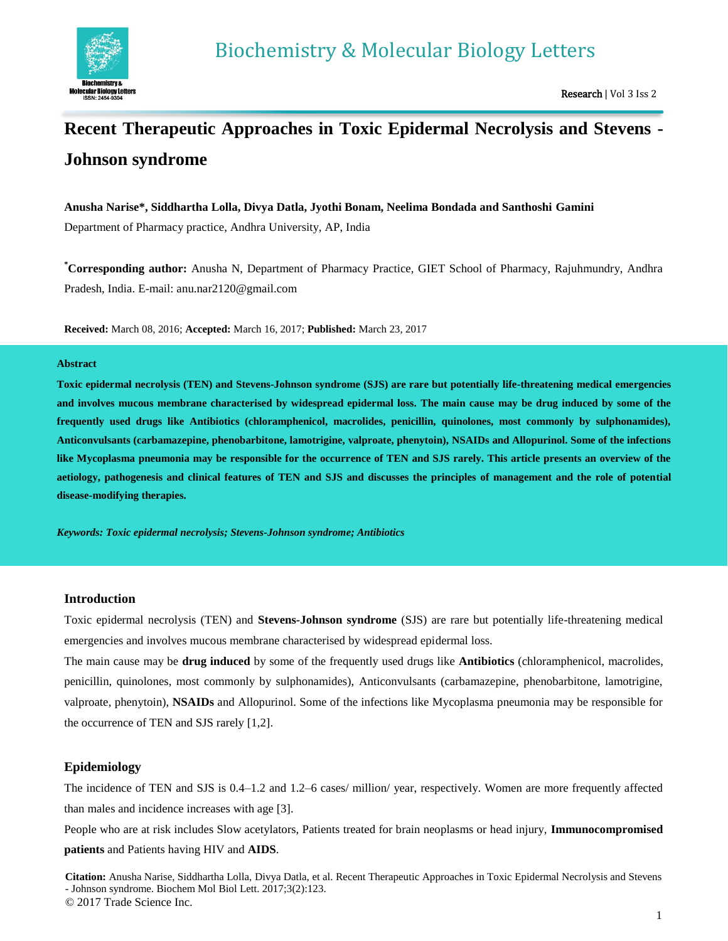

# **Recent Therapeutic Approaches in Toxic Epidermal Necrolysis and Stevens - Johnson syndrome**

## **Anusha Narise\*, Siddhartha Lolla, Divya Datla, Jyothi Bonam, Neelima Bondada and Santhoshi Gamini**

Department of Pharmacy practice, Andhra University, AP, India

**\*Corresponding author:** Anusha N, Department of Pharmacy Practice, GIET School of Pharmacy, Rajuhmundry, Andhra Pradesh, India. E-mail: anu.nar2120@gmail.com

**Received:** March 08, 2016; **Accepted:** March 16, 2017; **Published:** March 23, 2017

#### **Abstract**

**Toxic epidermal necrolysis (TEN) and Stevens-Johnson syndrome (SJS) are rare but potentially life-threatening medical emergencies and involves mucous membrane characterised by widespread epidermal loss. The main cause may be drug induced by some of the frequently used drugs like Antibiotics (chloramphenicol, macrolides, penicillin, quinolones, most commonly by sulphonamides), Anticonvulsants (carbamazepine, phenobarbitone, lamotrigine, valproate, phenytoin), NSAIDs and Allopurinol. Some of the infections like Mycoplasma pneumonia may be responsible for the occurrence of TEN and SJS rarely. This article presents an overview of the aetiology, pathogenesis and clinical features of TEN and SJS and discusses the principles of management and the role of potential disease-modifying therapies.** 

*Keywords: Toxic epidermal necrolysis; Stevens-Johnson syndrome; Antibiotics*

## **Introduction**

Toxic epidermal necrolysis (TEN) and **Stevens-Johnson syndrome** (SJS) are rare but potentially life-threatening medical emergencies and involves mucous membrane characterised by widespread epidermal loss.

The main cause may be **drug induced** by some of the frequently used drugs like **Antibiotics** (chloramphenicol, macrolides, penicillin, quinolones, most commonly by sulphonamides), Anticonvulsants (carbamazepine, phenobarbitone, lamotrigine, valproate, phenytoin), **NSAIDs** and Allopurinol. Some of the infections like Mycoplasma pneumonia may be responsible for the occurrence of TEN and SJS rarely [1,2].

## **Epidemiology**

The incidence of TEN and SJS is 0.4–1.2 and 1.2–6 cases/ million/ year, respectively. Women are more frequently affected than males and incidence increases with age [3].

People who are at risk includes Slow acetylators, Patients treated for brain neoplasms or head injury, **Immunocompromised patients** and Patients having HIV and **AIDS**.

**Citation:** Anusha Narise, Siddhartha Lolla, Divya Datla, et al. Recent Therapeutic Approaches in Toxic Epidermal Necrolysis and Stevens - Johnson syndrome. Biochem Mol Biol Lett. 2017;3(2):123.

© 2017 Trade Science Inc.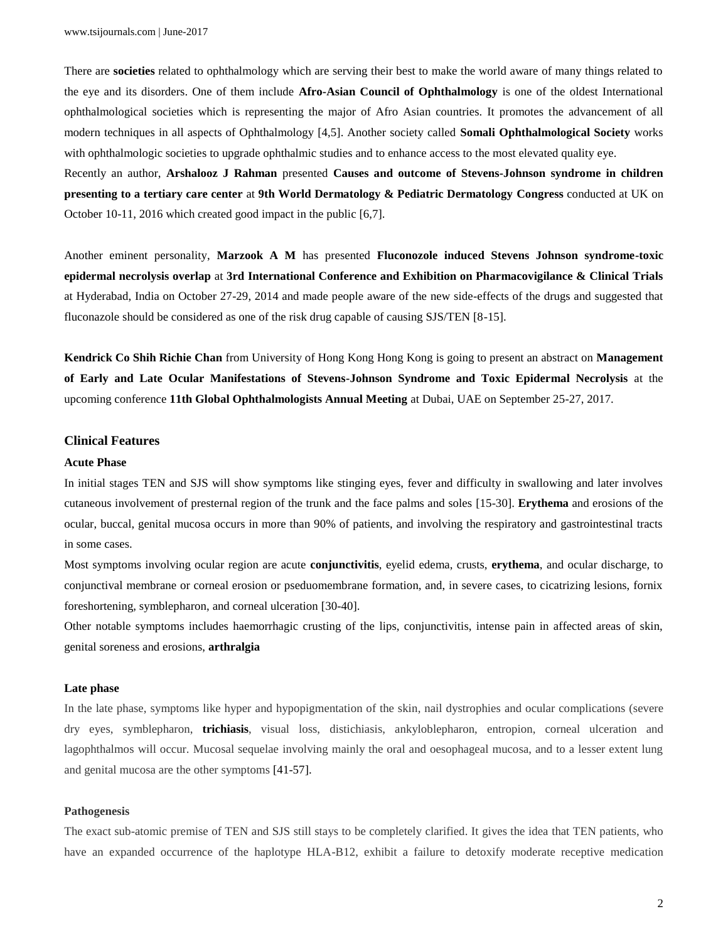There are **societies** related to ophthalmology which are serving their best to make the world aware of many things related to the eye and its disorders. One of them include **Afro-Asian Council of Ophthalmology** is one of the oldest International ophthalmological societies which is representing the major of Afro Asian countries. It promotes the advancement of all modern techniques in all aspects of Ophthalmology [4,5]. Another society called **Somali Ophthalmological Society** works with ophthalmologic societies to upgrade ophthalmic studies and to enhance access to the most elevated quality eye.

Recently an author, **Arshalooz J Rahman** presented **Causes and outcome of Stevens-Johnson syndrome in children presenting to a tertiary care center** at **9th World Dermatology & Pediatric Dermatology Congress** conducted at UK on October 10-11, 2016 which created good impact in the public [6,7].

Another eminent personality, **Marzook A M** has presented **Fluconozole induced Stevens Johnson syndrome-toxic epidermal necrolysis overlap** at **3rd International Conference and Exhibition on Pharmacovigilance & Clinical Trials** at Hyderabad, India on October 27-29, 2014 and made people aware of the new side-effects of the drugs and suggested that fluconazole should be considered as one of the risk drug capable of causing SJS/TEN [8-15].

**Kendrick Co Shih Richie Chan** from University of Hong Kong Hong Kong is going to present an abstract on **Management of Early and Late Ocular Manifestations of Stevens-Johnson Syndrome and Toxic Epidermal Necrolysis** at the upcoming conference **11th Global Ophthalmologists Annual Meeting** at Dubai, UAE on September 25-27, 2017.

#### **Clinical Features**

#### **Acute Phase**

In initial stages TEN and SJS will show symptoms like stinging eyes, fever and difficulty in swallowing and later involves cutaneous involvement of presternal region of the trunk and the face palms and soles [15-30]. **Erythema** and erosions of the ocular, buccal, genital mucosa occurs in more than 90% of patients, and involving the respiratory and gastrointestinal tracts in some cases.

Most symptoms involving ocular region are acute **conjunctivitis**, eyelid edema, crusts, **erythema**, and ocular discharge, to conjunctival membrane or corneal erosion or pseduomembrane formation, and, in severe cases, to cicatrizing lesions, fornix foreshortening, symblepharon, and corneal ulceration [30-40].

Other notable symptoms includes haemorrhagic crusting of the lips, conjunctivitis, intense pain in affected areas of skin, genital soreness and erosions, **arthralgia**

#### **Late phase**

In the late phase, symptoms like hyper and hypopigmentation of the skin, nail dystrophies and ocular complications (severe dry eyes, symblepharon, **trichiasis**, visual loss, distichiasis, ankyloblepharon, entropion, corneal ulceration and lagophthalmos will occur. Mucosal sequelae involving mainly the oral and oesophageal mucosa, and to a lesser extent lung and genital mucosa are the other symptoms [41-57].

#### **Pathogenesis**

The exact sub-atomic premise of TEN and SJS still stays to be completely clarified. It gives the idea that TEN patients, who have an expanded occurrence of the haplotype HLA-B12, exhibit a failure to detoxify moderate receptive medication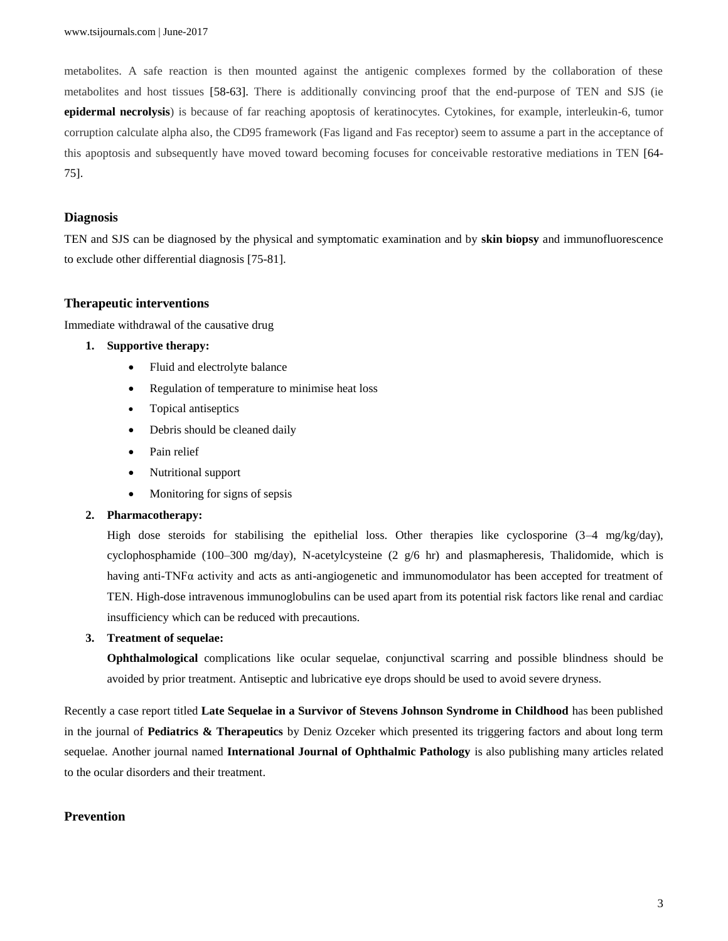metabolites. A safe reaction is then mounted against the antigenic complexes formed by the collaboration of these metabolites and host tissues [58-63]. There is additionally convincing proof that the end-purpose of TEN and SJS (ie **epidermal necrolysis**) is because of far reaching apoptosis of keratinocytes. Cytokines, for example, interleukin-6, tumor corruption calculate alpha also, the CD95 framework (Fas ligand and Fas receptor) seem to assume a part in the acceptance of this apoptosis and subsequently have moved toward becoming focuses for conceivable restorative mediations in TEN [64- 75].

### **Diagnosis**

TEN and SJS can be diagnosed by the physical and symptomatic examination and by **skin biopsy** and immunofluorescence to exclude other differential diagnosis [75-81].

#### **Therapeutic interventions**

Immediate withdrawal of the causative drug

## **1. Supportive therapy:**

- Fluid and electrolyte balance
- Regulation of temperature to minimise heat loss
- Topical antiseptics
- Debris should be cleaned daily
- Pain relief
- Nutritional support
- Monitoring for signs of sepsis

## **2. Pharmacotherapy:**

High dose steroids for stabilising the epithelial loss. Other therapies like cyclosporine (3–4 mg/kg/day), cyclophosphamide (100–300 mg/day), N-acetylcysteine (2 g/6 hr) and plasmapheresis, Thalidomide, which is having anti-TNFα activity and acts as anti-angiogenetic and immunomodulator has been accepted for treatment of TEN. High-dose intravenous immunoglobulins can be used apart from its potential risk factors like renal and cardiac insufficiency which can be reduced with precautions.

#### **3. Treatment of sequelae:**

**Ophthalmological** complications like ocular sequelae, conjunctival scarring and possible blindness should be avoided by prior treatment. Antiseptic and lubricative eye drops should be used to avoid severe dryness.

Recently a case report titled **Late Sequelae in a Survivor of Stevens Johnson Syndrome in Childhood** has been published in the journal of **Pediatrics & Therapeutics** by Deniz Ozceker which presented its triggering factors and about long term sequelae. Another journal named **International Journal of Ophthalmic Pathology** is also publishing many articles related to the ocular disorders and their treatment.

# **Prevention**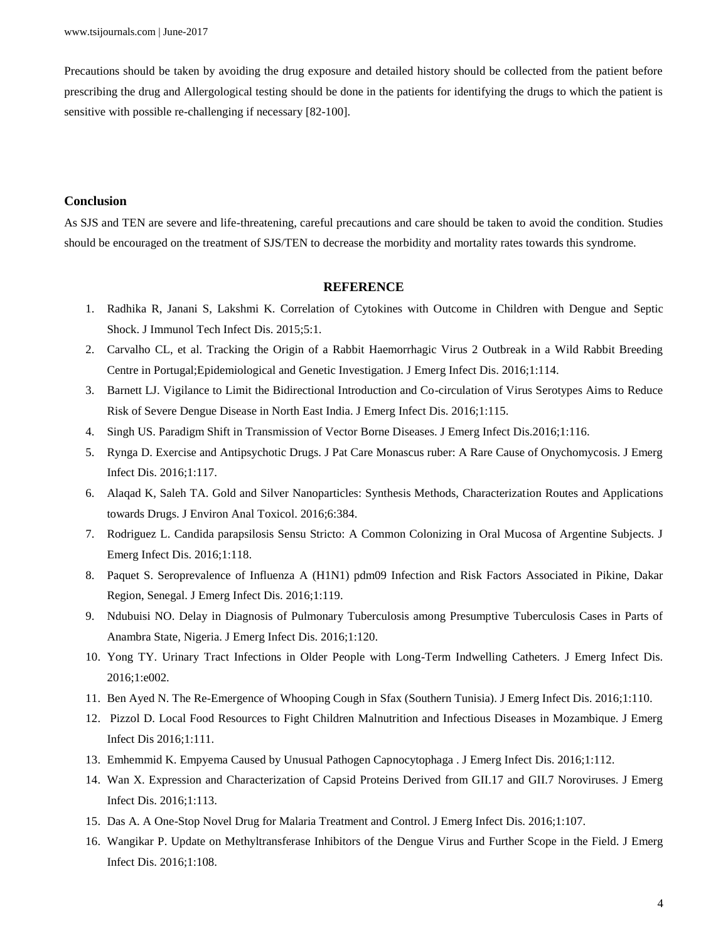Precautions should be taken by avoiding the drug exposure and detailed history should be collected from the patient before prescribing the drug and Allergological testing should be done in the patients for identifying the drugs to which the patient is sensitive with possible re-challenging if necessary [82-100].

## **Conclusion**

As SJS and TEN are severe and life-threatening, careful precautions and care should be taken to avoid the condition. Studies should be encouraged on the treatment of SJS/TEN to decrease the morbidity and mortality rates towards this syndrome.

## **REFERENCE**

- 1. Radhika R, Janani S, Lakshmi K. Correlation of Cytokines with Outcome in Children with Dengue and Septic Shock. J Immunol Tech Infect Dis. 2015;5:1.
- 2. Carvalho CL, et al. Tracking the Origin of a Rabbit Haemorrhagic Virus 2 Outbreak in a Wild Rabbit Breeding Centre in Portugal;Epidemiological and Genetic Investigation. J Emerg Infect Dis. 2016;1:114.
- 3. Barnett LJ. Vigilance to Limit the Bidirectional Introduction and Co-circulation of Virus Serotypes Aims to Reduce Risk of Severe Dengue Disease in North East India. J Emerg Infect Dis. 2016;1:115.
- 4. Singh US. Paradigm Shift in Transmission of Vector Borne Diseases. J Emerg Infect Dis.2016;1:116.
- 5. Rynga D. Exercise and Antipsychotic Drugs. J Pat Care Monascus ruber: A Rare Cause of Onychomycosis. J Emerg Infect Dis. 2016;1:117.
- 6. Alaqad K, Saleh TA. Gold and Silver Nanoparticles: Synthesis Methods, Characterization Routes and Applications towards Drugs. J Environ Anal Toxicol. 2016;6:384.
- 7. Rodriguez L. Candida parapsilosis Sensu Stricto: A Common Colonizing in Oral Mucosa of Argentine Subjects. J Emerg Infect Dis. 2016;1:118.
- 8. Paquet S. Seroprevalence of Influenza A (H1N1) pdm09 Infection and Risk Factors Associated in Pikine, Dakar Region, Senegal. J Emerg Infect Dis. 2016;1:119.
- 9. Ndubuisi NO. Delay in Diagnosis of Pulmonary Tuberculosis among Presumptive Tuberculosis Cases in Parts of Anambra State, Nigeria. J Emerg Infect Dis. 2016;1:120.
- 10. Yong TY. Urinary Tract Infections in Older People with Long-Term Indwelling Catheters. J Emerg Infect Dis. 2016;1:e002.
- 11. Ben Ayed N. The Re-Emergence of Whooping Cough in Sfax (Southern Tunisia). J Emerg Infect Dis. 2016;1:110.
- 12. Pizzol D. Local Food Resources to Fight Children Malnutrition and Infectious Diseases in Mozambique. J Emerg Infect Dis 2016;1:111.
- 13. Emhemmid K. Empyema Caused by Unusual Pathogen Capnocytophaga . J Emerg Infect Dis. 2016;1:112.
- 14. Wan X. Expression and Characterization of Capsid Proteins Derived from GII.17 and GII.7 Noroviruses. J Emerg Infect Dis. 2016;1:113.
- 15. Das A. A One-Stop Novel Drug for Malaria Treatment and Control. J Emerg Infect Dis. 2016;1:107.
- 16. Wangikar P. Update on Methyltransferase Inhibitors of the Dengue Virus and Further Scope in the Field. J Emerg Infect Dis. 2016;1:108.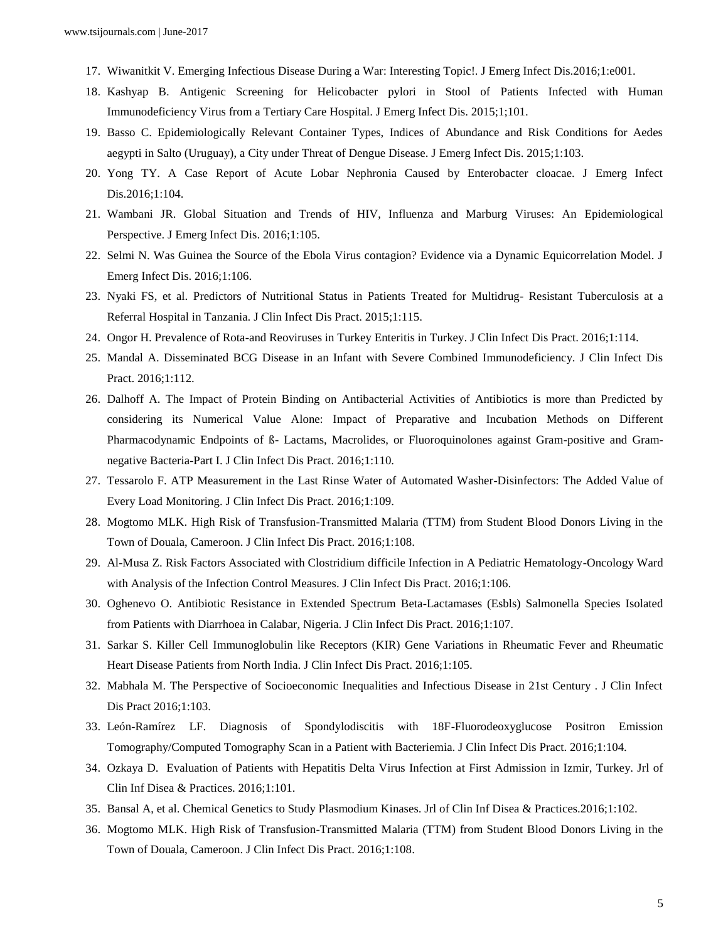- 17. Wiwanitkit V. Emerging Infectious Disease During a War: Interesting Topic!. J Emerg Infect Dis.2016;1:e001.
- 18. Kashyap B. Antigenic Screening for Helicobacter pylori in Stool of Patients Infected with Human Immunodeficiency Virus from a Tertiary Care Hospital. J Emerg Infect Dis. 2015;1;101.
- 19. Basso C. Epidemiologically Relevant Container Types, Indices of Abundance and Risk Conditions for Aedes aegypti in Salto (Uruguay), a City under Threat of Dengue Disease. J Emerg Infect Dis. 2015;1:103.
- 20. Yong TY. A Case Report of Acute Lobar Nephronia Caused by Enterobacter cloacae. J Emerg Infect Dis.2016;1:104.
- 21. Wambani JR. Global Situation and Trends of HIV, Influenza and Marburg Viruses: An Epidemiological Perspective. J Emerg Infect Dis. 2016;1:105.
- 22. Selmi N. Was Guinea the Source of the Ebola Virus contagion? Evidence via a Dynamic Equicorrelation Model. J Emerg Infect Dis. 2016;1:106.
- 23. Nyaki FS, et al. Predictors of Nutritional Status in Patients Treated for Multidrug- Resistant Tuberculosis at a Referral Hospital in Tanzania. J Clin Infect Dis Pract. 2015;1:115.
- 24. Ongor H. Prevalence of Rota-and Reoviruses in Turkey Enteritis in Turkey. J Clin Infect Dis Pract. 2016;1:114.
- 25. Mandal A. Disseminated BCG Disease in an Infant with Severe Combined Immunodeficiency. J Clin Infect Dis Pract. 2016;1:112.
- 26. Dalhoff A. The Impact of Protein Binding on Antibacterial Activities of Antibiotics is more than Predicted by considering its Numerical Value Alone: Impact of Preparative and Incubation Methods on Different Pharmacodynamic Endpoints of ß- Lactams, Macrolides, or Fluoroquinolones against Gram-positive and Gramnegative Bacteria-Part I. J Clin Infect Dis Pract. 2016;1:110.
- 27. Tessarolo F. ATP Measurement in the Last Rinse Water of Automated Washer-Disinfectors: The Added Value of Every Load Monitoring. J Clin Infect Dis Pract. 2016;1:109.
- 28. Mogtomo MLK. High Risk of Transfusion-Transmitted Malaria (TTM) from Student Blood Donors Living in the Town of Douala, Cameroon. J Clin Infect Dis Pract. 2016;1:108.
- 29. Al-Musa Z. Risk Factors Associated with Clostridium difficile Infection in A Pediatric Hematology-Oncology Ward with Analysis of the Infection Control Measures. J Clin Infect Dis Pract. 2016;1:106.
- 30. Oghenevo O. Antibiotic Resistance in Extended Spectrum Beta-Lactamases (Esbls) Salmonella Species Isolated from Patients with Diarrhoea in Calabar, Nigeria. J Clin Infect Dis Pract. 2016;1:107.
- 31. Sarkar S. Killer Cell Immunoglobulin like Receptors (KIR) Gene Variations in Rheumatic Fever and Rheumatic Heart Disease Patients from North India. J Clin Infect Dis Pract. 2016;1:105.
- 32. Mabhala M. The Perspective of Socioeconomic Inequalities and Infectious Disease in 21st Century . J Clin Infect Dis Pract 2016;1:103.
- 33. León-Ramírez LF. Diagnosis of Spondylodiscitis with 18F-Fluorodeoxyglucose Positron Emission Tomography/Computed Tomography Scan in a Patient with Bacteriemia. J Clin Infect Dis Pract. 2016;1:104.
- 34. Ozkaya D. Evaluation of Patients with Hepatitis Delta Virus Infection at First Admission in Izmir, Turkey. Jrl of Clin Inf Disea & Practices. 2016;1:101.
- 35. Bansal A, et al. Chemical Genetics to Study Plasmodium Kinases. Jrl of Clin Inf Disea & Practices.2016;1:102.
- 36. Mogtomo MLK. High Risk of Transfusion-Transmitted Malaria (TTM) from Student Blood Donors Living in the Town of Douala, Cameroon. J Clin Infect Dis Pract. 2016;1:108.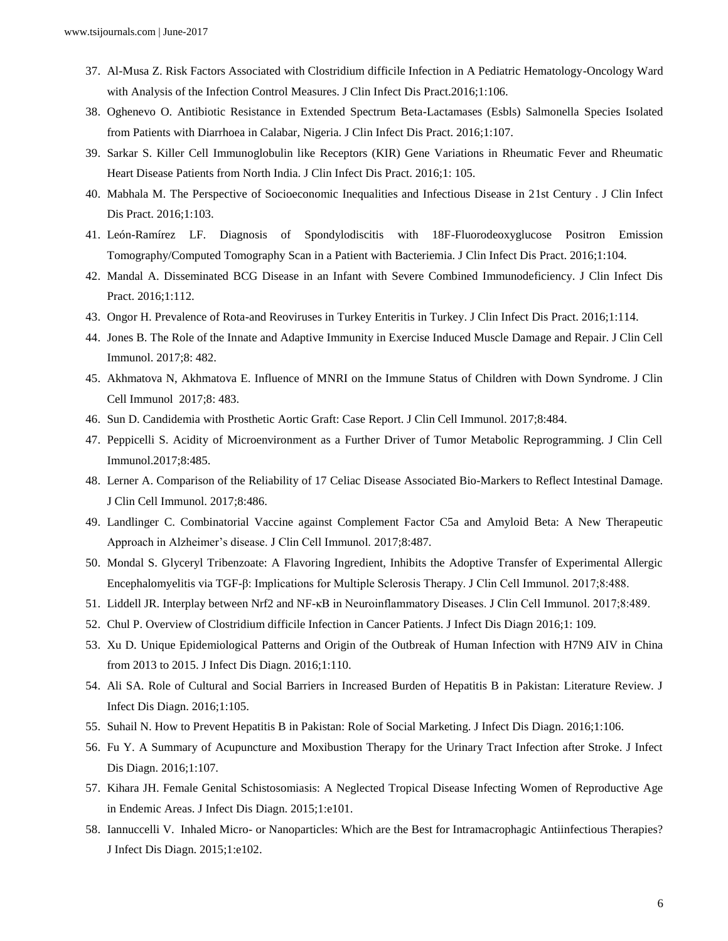- 37. Al-Musa Z. Risk Factors Associated with Clostridium difficile Infection in A Pediatric Hematology-Oncology Ward with Analysis of the Infection Control Measures. J Clin Infect Dis Pract.2016;1:106.
- 38. Oghenevo O. Antibiotic Resistance in Extended Spectrum Beta-Lactamases (Esbls) Salmonella Species Isolated from Patients with Diarrhoea in Calabar, Nigeria. J Clin Infect Dis Pract. 2016;1:107.
- 39. Sarkar S. Killer Cell Immunoglobulin like Receptors (KIR) Gene Variations in Rheumatic Fever and Rheumatic Heart Disease Patients from North India. J Clin Infect Dis Pract. 2016;1: 105.
- 40. Mabhala M. The Perspective of Socioeconomic Inequalities and Infectious Disease in 21st Century . J Clin Infect Dis Pract. 2016;1:103.
- 41. León-Ramírez LF. Diagnosis of Spondylodiscitis with 18F-Fluorodeoxyglucose Positron Emission Tomography/Computed Tomography Scan in a Patient with Bacteriemia. J Clin Infect Dis Pract. 2016;1:104.
- 42. Mandal A. Disseminated BCG Disease in an Infant with Severe Combined Immunodeficiency. J Clin Infect Dis Pract. 2016;1:112.
- 43. Ongor H. Prevalence of Rota-and Reoviruses in Turkey Enteritis in Turkey. J Clin Infect Dis Pract. 2016;1:114.
- 44. Jones B. The Role of the Innate and Adaptive Immunity in Exercise Induced Muscle Damage and Repair. J Clin Cell Immunol. 2017;8: 482.
- 45. Akhmatova N, Akhmatova E. Influence of MNRI on the Immune Status of Children with Down Syndrome. J Clin Cell Immunol 2017;8: 483.
- 46. Sun D. Candidemia with Prosthetic Aortic Graft: Case Report. J Clin Cell Immunol. 2017;8:484.
- 47. Peppicelli S. Acidity of Microenvironment as a Further Driver of Tumor Metabolic Reprogramming. J Clin Cell Immunol.2017;8:485.
- 48. Lerner A. Comparison of the Reliability of 17 Celiac Disease Associated Bio-Markers to Reflect Intestinal Damage. J Clin Cell Immunol. 2017;8:486.
- 49. Landlinger C. Combinatorial Vaccine against Complement Factor C5a and Amyloid Beta: A New Therapeutic Approach in Alzheimer's disease. J Clin Cell Immunol. 2017;8:487.
- 50. Mondal S. Glyceryl Tribenzoate: A Flavoring Ingredient, Inhibits the Adoptive Transfer of Experimental Allergic Encephalomyelitis via TGF-β: Implications for Multiple Sclerosis Therapy. J Clin Cell Immunol. 2017;8:488.
- 51. Liddell JR. Interplay between Nrf2 and NF-κB in Neuroinflammatory Diseases. J Clin Cell Immunol. 2017;8:489.
- 52. Chul P. Overview of Clostridium difficile Infection in Cancer Patients. J Infect Dis Diagn 2016;1: 109.
- 53. Xu D. Unique Epidemiological Patterns and Origin of the Outbreak of Human Infection with H7N9 AIV in China from 2013 to 2015. J Infect Dis Diagn. 2016;1:110.
- 54. Ali SA. Role of Cultural and Social Barriers in Increased Burden of Hepatitis B in Pakistan: Literature Review. J Infect Dis Diagn. 2016;1:105.
- 55. Suhail N. How to Prevent Hepatitis B in Pakistan: Role of Social Marketing. J Infect Dis Diagn. 2016;1:106.
- 56. Fu Y. A Summary of Acupuncture and Moxibustion Therapy for the Urinary Tract Infection after Stroke. J Infect Dis Diagn. 2016;1:107.
- 57. Kihara JH. Female Genital Schistosomiasis: A Neglected Tropical Disease Infecting Women of Reproductive Age in Endemic Areas. J Infect Dis Diagn. 2015;1:e101.
- 58. Iannuccelli V. Inhaled Micro- or Nanoparticles: Which are the Best for Intramacrophagic Antiinfectious Therapies? J Infect Dis Diagn. 2015;1:e102.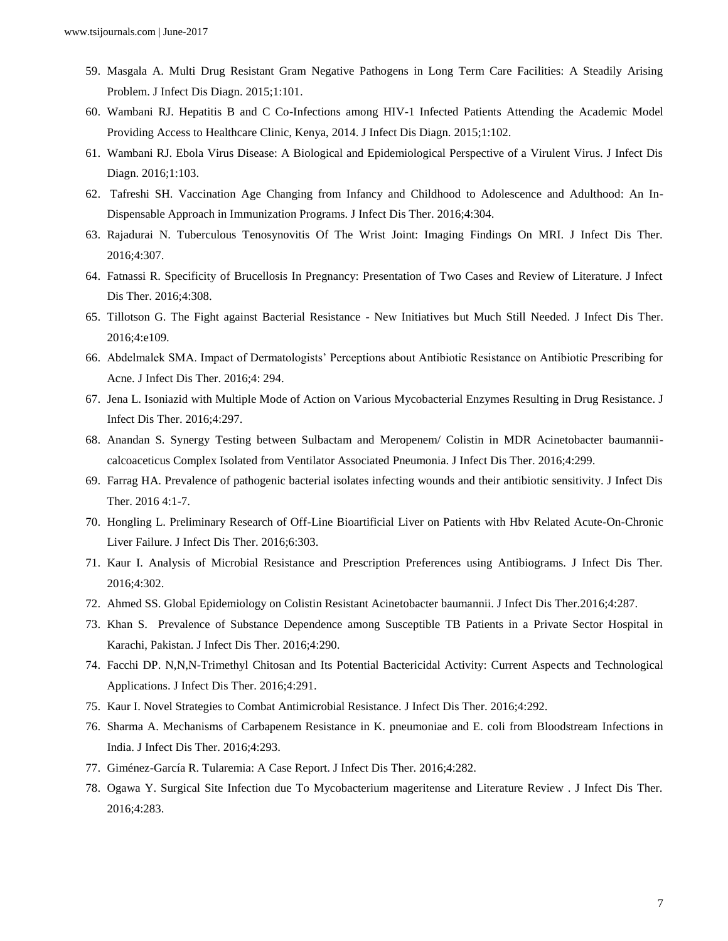- 59. Masgala A. Multi Drug Resistant Gram Negative Pathogens in Long Term Care Facilities: A Steadily Arising Problem. J Infect Dis Diagn. 2015;1:101.
- 60. Wambani RJ. Hepatitis B and C Co-Infections among HIV-1 Infected Patients Attending the Academic Model Providing Access to Healthcare Clinic, Kenya, 2014. J Infect Dis Diagn. 2015;1:102.
- 61. Wambani RJ. Ebola Virus Disease: A Biological and Epidemiological Perspective of a Virulent Virus. J Infect Dis Diagn. 2016;1:103.
- 62. Tafreshi SH. Vaccination Age Changing from Infancy and Childhood to Adolescence and Adulthood: An In-Dispensable Approach in Immunization Programs. J Infect Dis Ther. 2016;4:304.
- 63. Rajadurai N. Tuberculous Tenosynovitis Of The Wrist Joint: Imaging Findings On MRI. J Infect Dis Ther. 2016;4:307.
- 64. Fatnassi R. Specificity of Brucellosis In Pregnancy: Presentation of Two Cases and Review of Literature. J Infect Dis Ther. 2016;4:308.
- 65. Tillotson G. The Fight against Bacterial Resistance New Initiatives but Much Still Needed. J Infect Dis Ther. 2016;4:e109.
- 66. Abdelmalek SMA. Impact of Dermatologists' Perceptions about Antibiotic Resistance on Antibiotic Prescribing for Acne. J Infect Dis Ther. 2016;4: 294.
- 67. Jena L. Isoniazid with Multiple Mode of Action on Various Mycobacterial Enzymes Resulting in Drug Resistance. J Infect Dis Ther. 2016;4:297.
- 68. Anandan S. Synergy Testing between Sulbactam and Meropenem/ Colistin in MDR Acinetobacter baumanniicalcoaceticus Complex Isolated from Ventilator Associated Pneumonia. J Infect Dis Ther. 2016;4:299.
- 69. Farrag HA. Prevalence of pathogenic bacterial isolates infecting wounds and their antibiotic sensitivity. J Infect Dis Ther. 2016 4:1-7.
- 70. Hongling L. Preliminary Research of Off-Line Bioartificial Liver on Patients with Hbv Related Acute-On-Chronic Liver Failure. J Infect Dis Ther. 2016;6:303.
- 71. Kaur I. Analysis of Microbial Resistance and Prescription Preferences using Antibiograms. J Infect Dis Ther. 2016;4:302.
- 72. Ahmed SS. Global Epidemiology on Colistin Resistant Acinetobacter baumannii. J Infect Dis Ther.2016;4:287.
- 73. Khan S. Prevalence of Substance Dependence among Susceptible TB Patients in a Private Sector Hospital in Karachi, Pakistan. J Infect Dis Ther. 2016;4:290.
- 74. Facchi DP. N,N,N-Trimethyl Chitosan and Its Potential Bactericidal Activity: Current Aspects and Technological Applications. J Infect Dis Ther. 2016;4:291.
- 75. Kaur I. Novel Strategies to Combat Antimicrobial Resistance. J Infect Dis Ther. 2016;4:292.
- 76. Sharma A. Mechanisms of Carbapenem Resistance in K. pneumoniae and E. coli from Bloodstream Infections in India. J Infect Dis Ther. 2016;4:293.
- 77. Giménez-García R. Tularemia: A Case Report. J Infect Dis Ther. 2016;4:282.
- 78. Ogawa Y. Surgical Site Infection due To Mycobacterium mageritense and Literature Review . J Infect Dis Ther. 2016;4:283.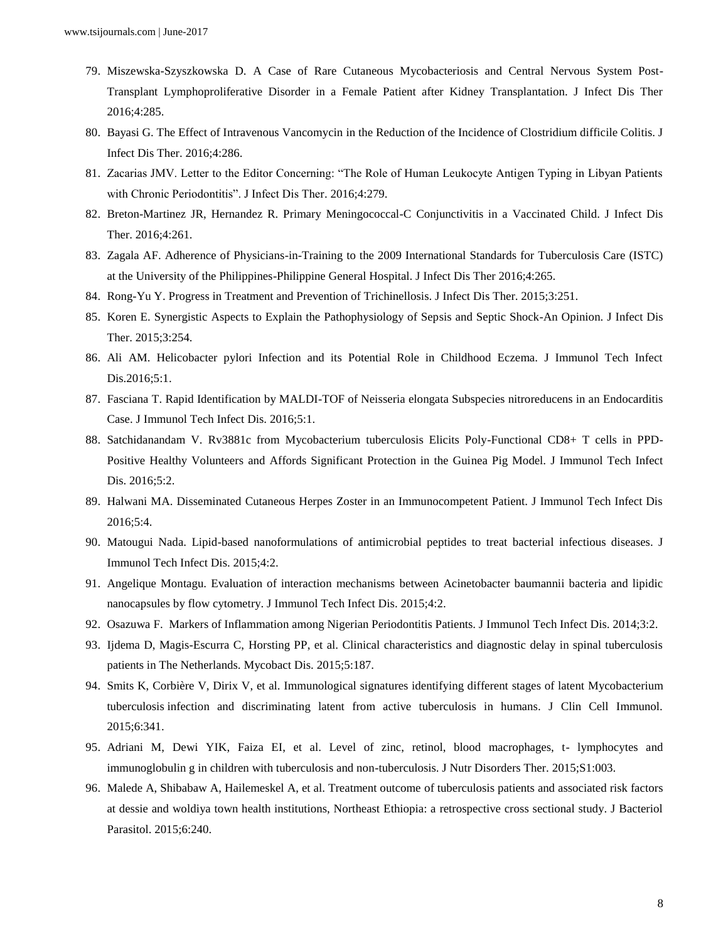- 79. Miszewska-Szyszkowska D. A Case of Rare Cutaneous Mycobacteriosis and Central Nervous System Post-Transplant Lymphoproliferative Disorder in a Female Patient after Kidney Transplantation. J Infect Dis Ther 2016;4:285.
- 80. Bayasi G. The Effect of Intravenous Vancomycin in the Reduction of the Incidence of Clostridium difficile Colitis. J Infect Dis Ther. 2016;4:286.
- 81. Zacarias JMV. Letter to the Editor Concerning: "The Role of Human Leukocyte Antigen Typing in Libyan Patients with Chronic Periodontitis". J Infect Dis Ther. 2016;4:279.
- 82. Breton-Martinez JR, Hernandez R. Primary Meningococcal-C Conjunctivitis in a Vaccinated Child. J Infect Dis Ther. 2016;4:261.
- 83. Zagala AF. Adherence of Physicians-in-Training to the 2009 International Standards for Tuberculosis Care (ISTC) at the University of the Philippines-Philippine General Hospital. J Infect Dis Ther 2016;4:265.
- 84. Rong-Yu Y. Progress in Treatment and Prevention of Trichinellosis. J Infect Dis Ther. 2015;3:251.
- 85. Koren E. Synergistic Aspects to Explain the Pathophysiology of Sepsis and Septic Shock-An Opinion. J Infect Dis Ther. 2015;3:254.
- 86. Ali AM. Helicobacter pylori Infection and its Potential Role in Childhood Eczema. J Immunol Tech Infect Dis.2016;5:1.
- 87. Fasciana T. Rapid Identification by MALDI-TOF of Neisseria elongata Subspecies nitroreducens in an Endocarditis Case. J Immunol Tech Infect Dis. 2016;5:1.
- 88. Satchidanandam V. Rv3881c from Mycobacterium tuberculosis Elicits Poly-Functional CD8+ T cells in PPD-Positive Healthy Volunteers and Affords Significant Protection in the Guinea Pig Model. J Immunol Tech Infect Dis. 2016;5:2.
- 89. Halwani MA. Disseminated Cutaneous Herpes Zoster in an Immunocompetent Patient. J Immunol Tech Infect Dis 2016;5:4.
- 90. Matougui Nada. Lipid-based nanoformulations of antimicrobial peptides to treat bacterial infectious diseases. J Immunol Tech Infect Dis. 2015;4:2.
- 91. Angelique Montagu. Evaluation of interaction mechanisms between Acinetobacter baumannii bacteria and lipidic nanocapsules by flow cytometry. J Immunol Tech Infect Dis. 2015;4:2.
- 92. Osazuwa F. Markers of Inflammation among Nigerian Periodontitis Patients. J Immunol Tech Infect Dis. 2014;3:2.
- 93. Ijdema D, Magis-Escurra C, Horsting PP, et al. Clinical characteristics and diagnostic delay in spinal tuberculosis patients in The Netherlands. Mycobact Dis. 2015;5:187.
- 94. Smits K, Corbière V, Dirix V, et al. Immunological signatures identifying different stages of latent Mycobacterium tuberculosis infection and discriminating latent from active tuberculosis in humans. J Clin Cell Immunol. 2015;6:341.
- 95. Adriani M, Dewi YIK, Faiza EI, et al. Level of zinc, retinol, blood macrophages, t- lymphocytes and immunoglobulin g in children with tuberculosis and non-tuberculosis. J Nutr Disorders Ther. 2015;S1:003.
- 96. Malede A, Shibabaw A, Hailemeskel A, et al. Treatment outcome of tuberculosis patients and associated risk factors at dessie and woldiya town health institutions, Northeast Ethiopia: a retrospective cross sectional study. J Bacteriol Parasitol. 2015;6:240.